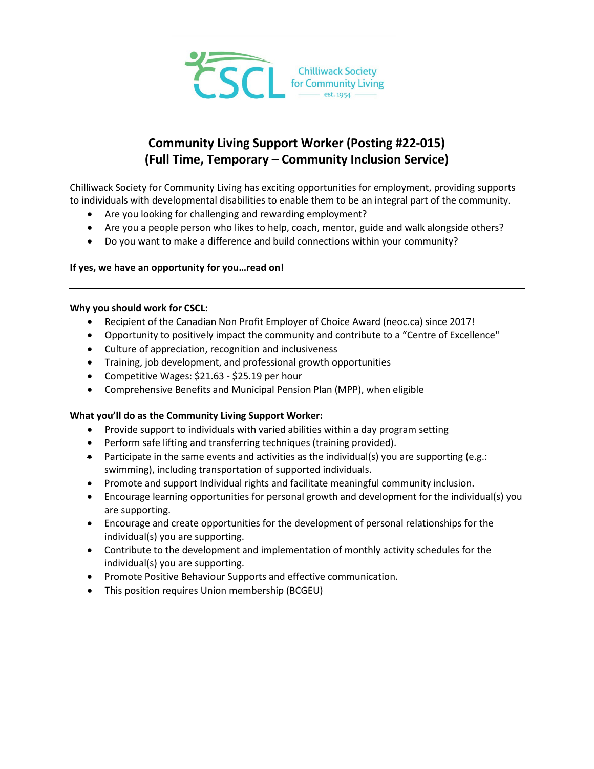

# **Community Living Support Worker (Posting #22-015) (Full Time, Temporary – Community Inclusion Service)**

Chilliwack Society for Community Living has exciting opportunities for employment, providing supports to individuals with developmental disabilities to enable them to be an integral part of the community.

- Are you looking for challenging and rewarding employment?
- Are you a people person who likes to help, coach, mentor, guide and walk alongside others?
- Do you want to make a difference and build connections within your community?

## **If yes, we have an opportunity for you…read on!**

#### **Why you should work for CSCL:**

- Recipient of the Canadian Non Profit Employer of Choice Award [\(neoc.ca\)](http://neoc.ca/) since 2017!
- Opportunity to positively impact the community and contribute to a "Centre of Excellence"
- Culture of appreciation, recognition and inclusiveness
- Training, job development, and professional growth opportunities
- Competitive Wages: \$21.63 \$25.19 per hour
- Comprehensive Benefits and Municipal Pension Plan (MPP), when eligible

## **What you'll do as the Community Living Support Worker:**

- Provide support to individuals with varied abilities within a day program setting
- Perform safe lifting and transferring techniques (training provided).
- Participate in the same events and activities as the individual(s) you are supporting (e.g.: swimming), including transportation of supported individuals.
- Promote and support Individual rights and facilitate meaningful community inclusion.
- Encourage learning opportunities for personal growth and development for the individual(s) you are supporting.
- Encourage and create opportunities for the development of personal relationships for the individual(s) you are supporting.
- Contribute to the development and implementation of monthly activity schedules for the individual(s) you are supporting.
- Promote Positive Behaviour Supports and effective communication.
- This position requires Union membership (BCGEU)